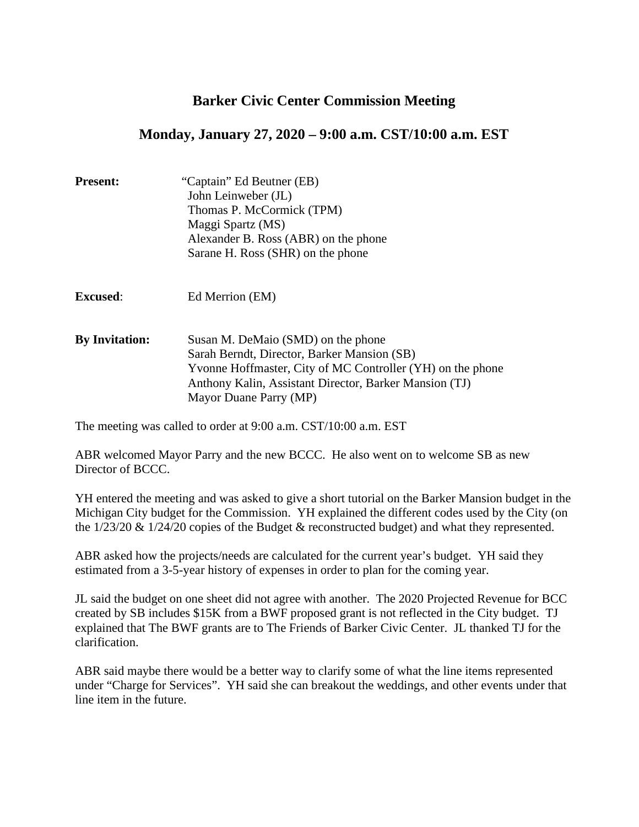# **Barker Civic Center Commission Meeting**

# **Monday, January 27, 2020 – 9:00 a.m. CST/10:00 a.m. EST**

| <b>Present:</b>       | "Captain" Ed Beutner (EB)<br>John Leinweber (JL)<br>Thomas P. McCormick (TPM)<br>Maggi Spartz (MS)<br>Alexander B. Ross (ABR) on the phone<br>Sarane H. Ross (SHR) on the phone                                                     |
|-----------------------|-------------------------------------------------------------------------------------------------------------------------------------------------------------------------------------------------------------------------------------|
| <b>Excused:</b>       | Ed Merrion (EM)                                                                                                                                                                                                                     |
| <b>By Invitation:</b> | Susan M. DeMaio (SMD) on the phone<br>Sarah Berndt, Director, Barker Mansion (SB)<br>Yvonne Hoffmaster, City of MC Controller (YH) on the phone<br>Anthony Kalin, Assistant Director, Barker Mansion (TJ)<br>Mayor Duane Parry (MP) |

The meeting was called to order at 9:00 a.m. CST/10:00 a.m. EST

ABR welcomed Mayor Parry and the new BCCC. He also went on to welcome SB as new Director of BCCC.

YH entered the meeting and was asked to give a short tutorial on the Barker Mansion budget in the Michigan City budget for the Commission. YH explained the different codes used by the City (on the 1/23/20 & 1/24/20 copies of the Budget & reconstructed budget) and what they represented.

ABR asked how the projects/needs are calculated for the current year's budget. YH said they estimated from a 3-5-year history of expenses in order to plan for the coming year.

JL said the budget on one sheet did not agree with another. The 2020 Projected Revenue for BCC created by SB includes \$15K from a BWF proposed grant is not reflected in the City budget. TJ explained that The BWF grants are to The Friends of Barker Civic Center. JL thanked TJ for the clarification.

ABR said maybe there would be a better way to clarify some of what the line items represented under "Charge for Services". YH said she can breakout the weddings, and other events under that line item in the future.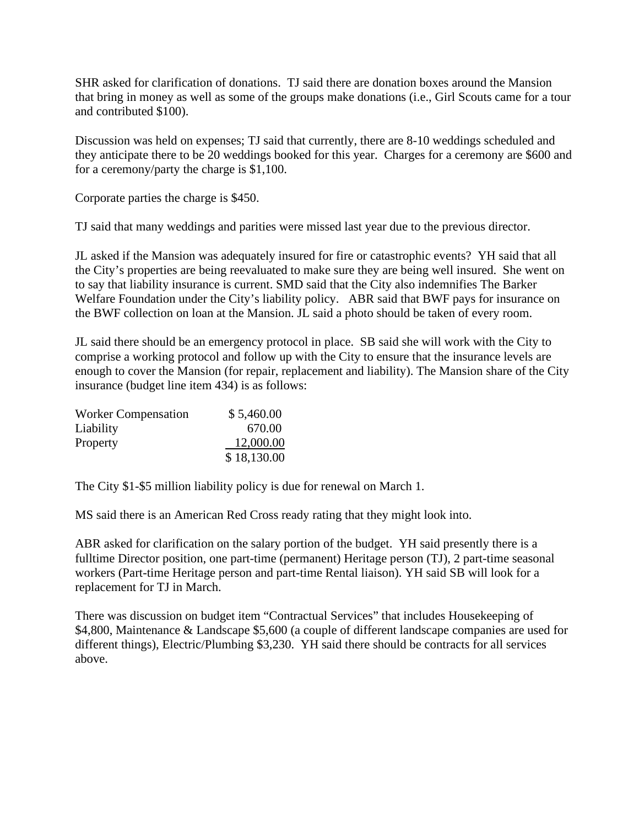SHR asked for clarification of donations. TJ said there are donation boxes around the Mansion that bring in money as well as some of the groups make donations (i.e., Girl Scouts came for a tour and contributed \$100).

Discussion was held on expenses; TJ said that currently, there are 8-10 weddings scheduled and they anticipate there to be 20 weddings booked for this year. Charges for a ceremony are \$600 and for a ceremony/party the charge is \$1,100.

Corporate parties the charge is \$450.

TJ said that many weddings and parities were missed last year due to the previous director.

JL asked if the Mansion was adequately insured for fire or catastrophic events? YH said that all the City's properties are being reevaluated to make sure they are being well insured. She went on to say that liability insurance is current. SMD said that the City also indemnifies The Barker Welfare Foundation under the City's liability policy. ABR said that BWF pays for insurance on the BWF collection on loan at the Mansion. JL said a photo should be taken of every room.

JL said there should be an emergency protocol in place. SB said she will work with the City to comprise a working protocol and follow up with the City to ensure that the insurance levels are enough to cover the Mansion (for repair, replacement and liability). The Mansion share of the City insurance (budget line item 434) is as follows:

| <b>Worker Compensation</b> | \$5,460.00  |
|----------------------------|-------------|
| Liability                  | 670.00      |
| Property                   | 12,000.00   |
|                            | \$18,130.00 |

The City \$1-\$5 million liability policy is due for renewal on March 1.

MS said there is an American Red Cross ready rating that they might look into.

ABR asked for clarification on the salary portion of the budget. YH said presently there is a fulltime Director position, one part-time (permanent) Heritage person (TJ), 2 part-time seasonal workers (Part-time Heritage person and part-time Rental liaison). YH said SB will look for a replacement for TJ in March.

There was discussion on budget item "Contractual Services" that includes Housekeeping of \$4,800, Maintenance & Landscape \$5,600 (a couple of different landscape companies are used for different things), Electric/Plumbing \$3,230. YH said there should be contracts for all services above.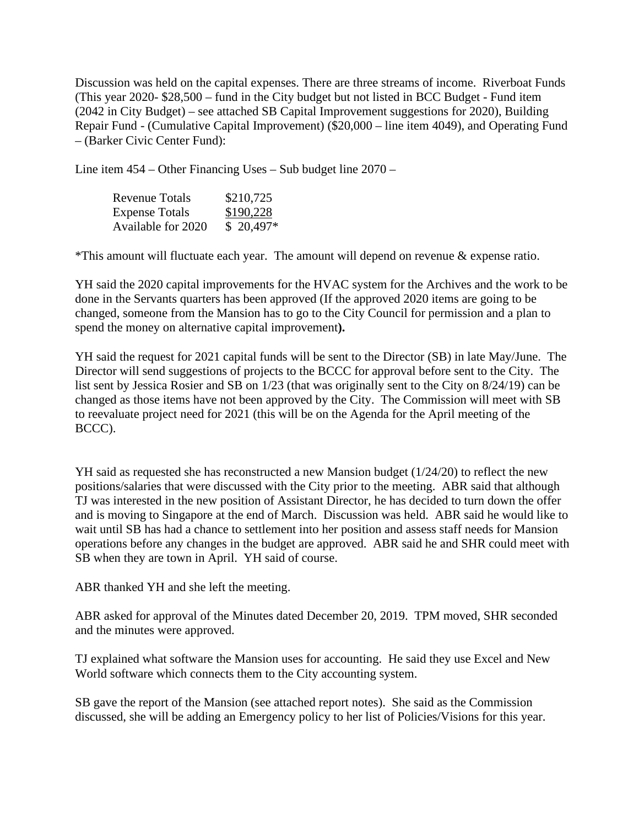Discussion was held on the capital expenses. There are three streams of income. Riverboat Funds (This year 2020- \$28,500 – fund in the City budget but not listed in BCC Budget - Fund item (2042 in City Budget) – see attached SB Capital Improvement suggestions for 2020), Building Repair Fund - (Cumulative Capital Improvement) (\$20,000 – line item 4049), and Operating Fund – (Barker Civic Center Fund):

Line item 454 – Other Financing Uses – Sub budget line 2070 –

| Revenue Totals        | \$210,725  |
|-----------------------|------------|
| <b>Expense Totals</b> | \$190,228  |
| Available for 2020    | $$20,497*$ |

\*This amount will fluctuate each year. The amount will depend on revenue & expense ratio.

YH said the 2020 capital improvements for the HVAC system for the Archives and the work to be done in the Servants quarters has been approved (If the approved 2020 items are going to be changed, someone from the Mansion has to go to the City Council for permission and a plan to spend the money on alternative capital improvement**).** 

YH said the request for 2021 capital funds will be sent to the Director (SB) in late May/June. The Director will send suggestions of projects to the BCCC for approval before sent to the City. The list sent by Jessica Rosier and SB on 1/23 (that was originally sent to the City on 8/24/19) can be changed as those items have not been approved by the City. The Commission will meet with SB to reevaluate project need for 2021 (this will be on the Agenda for the April meeting of the BCCC).

YH said as requested she has reconstructed a new Mansion budget (1/24/20) to reflect the new positions/salaries that were discussed with the City prior to the meeting. ABR said that although TJ was interested in the new position of Assistant Director, he has decided to turn down the offer and is moving to Singapore at the end of March. Discussion was held. ABR said he would like to wait until SB has had a chance to settlement into her position and assess staff needs for Mansion operations before any changes in the budget are approved. ABR said he and SHR could meet with SB when they are town in April. YH said of course.

ABR thanked YH and she left the meeting.

ABR asked for approval of the Minutes dated December 20, 2019. TPM moved, SHR seconded and the minutes were approved.

TJ explained what software the Mansion uses for accounting. He said they use Excel and New World software which connects them to the City accounting system.

SB gave the report of the Mansion (see attached report notes). She said as the Commission discussed, she will be adding an Emergency policy to her list of Policies/Visions for this year.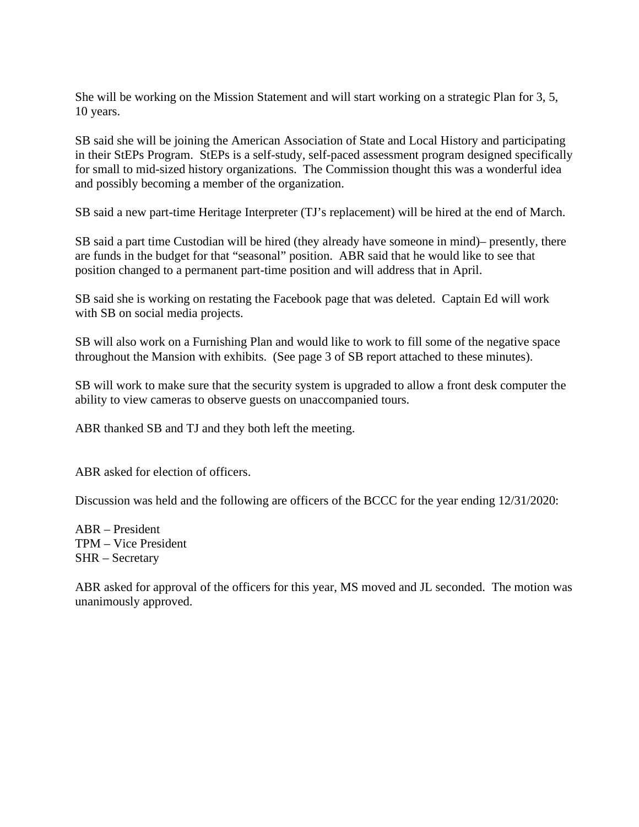She will be working on the Mission Statement and will start working on a strategic Plan for 3, 5, 10 years.

SB said she will be joining the American Association of State and Local History and participating in their StEPs Program. StEPs is a self-study, self-paced assessment program designed specifically for small to mid-sized history organizations. The Commission thought this was a wonderful idea and possibly becoming a member of the organization.

SB said a new part-time Heritage Interpreter (TJ's replacement) will be hired at the end of March.

SB said a part time Custodian will be hired (they already have someone in mind)– presently, there are funds in the budget for that "seasonal" position. ABR said that he would like to see that position changed to a permanent part-time position and will address that in April.

SB said she is working on restating the Facebook page that was deleted. Captain Ed will work with SB on social media projects.

SB will also work on a Furnishing Plan and would like to work to fill some of the negative space throughout the Mansion with exhibits. (See page 3 of SB report attached to these minutes).

SB will work to make sure that the security system is upgraded to allow a front desk computer the ability to view cameras to observe guests on unaccompanied tours.

ABR thanked SB and TJ and they both left the meeting.

ABR asked for election of officers.

Discussion was held and the following are officers of the BCCC for the year ending 12/31/2020:

ABR – President TPM – Vice President SHR – Secretary

ABR asked for approval of the officers for this year, MS moved and JL seconded. The motion was unanimously approved.